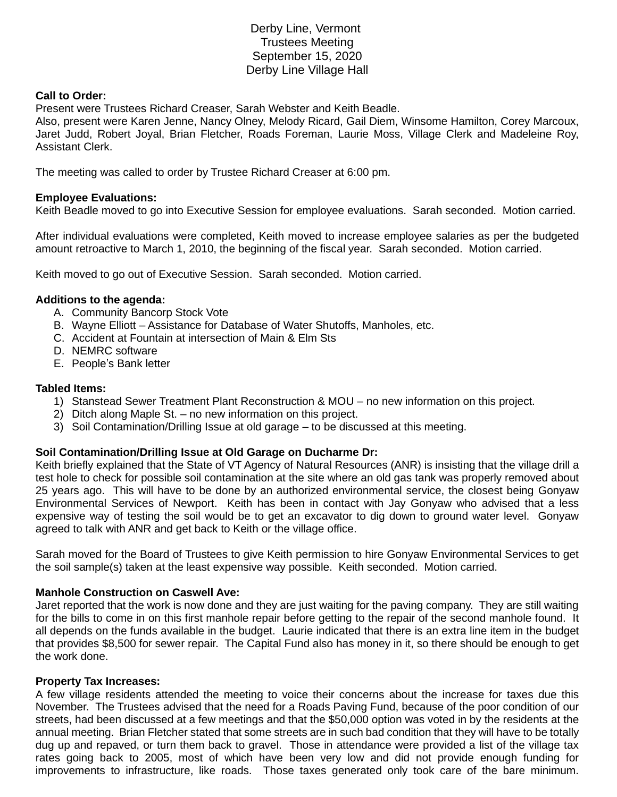# Derby Line, Vermont Trustees Meeting September 15, 2020 Derby Line Village Hall

## **Call to Order:**

Present were Trustees Richard Creaser, Sarah Webster and Keith Beadle.

Also, present were Karen Jenne, Nancy Olney, Melody Ricard, Gail Diem, Winsome Hamilton, Corey Marcoux, Jaret Judd, Robert Joyal, Brian Fletcher, Roads Foreman, Laurie Moss, Village Clerk and Madeleine Roy, Assistant Clerk.

The meeting was called to order by Trustee Richard Creaser at 6:00 pm.

### **Employee Evaluations:**

Keith Beadle moved to go into Executive Session for employee evaluations. Sarah seconded. Motion carried.

After individual evaluations were completed, Keith moved to increase employee salaries as per the budgeted amount retroactive to March 1, 2010, the beginning of the fiscal year. Sarah seconded. Motion carried.

Keith moved to go out of Executive Session. Sarah seconded. Motion carried.

### **Additions to the agenda:**

- A. Community Bancorp Stock Vote
- B. Wayne Elliott Assistance for Database of Water Shutoffs, Manholes, etc.
- C. Accident at Fountain at intersection of Main & Elm Sts
- D. NEMRC software
- E. People's Bank letter

### **Tabled Items:**

- 1) Stanstead Sewer Treatment Plant Reconstruction & MOU no new information on this project.
- 2) Ditch along Maple St. no new information on this project.
- 3) Soil Contamination/Drilling Issue at old garage to be discussed at this meeting.

## **Soil Contamination/Drilling Issue at Old Garage on Ducharme Dr:**

Keith briefly explained that the State of VT Agency of Natural Resources (ANR) is insisting that the village drill a test hole to check for possible soil contamination at the site where an old gas tank was properly removed about 25 years ago. This will have to be done by an authorized environmental service, the closest being Gonyaw Environmental Services of Newport. Keith has been in contact with Jay Gonyaw who advised that a less expensive way of testing the soil would be to get an excavator to dig down to ground water level. Gonyaw agreed to talk with ANR and get back to Keith or the village office.

Sarah moved for the Board of Trustees to give Keith permission to hire Gonyaw Environmental Services to get the soil sample(s) taken at the least expensive way possible. Keith seconded. Motion carried.

### **Manhole Construction on Caswell Ave:**

Jaret reported that the work is now done and they are just waiting for the paving company. They are still waiting for the bills to come in on this first manhole repair before getting to the repair of the second manhole found. It all depends on the funds available in the budget. Laurie indicated that there is an extra line item in the budget that provides \$8,500 for sewer repair. The Capital Fund also has money in it, so there should be enough to get the work done.

### **Property Tax Increases:**

A few village residents attended the meeting to voice their concerns about the increase for taxes due this November. The Trustees advised that the need for a Roads Paving Fund, because of the poor condition of our streets, had been discussed at a few meetings and that the \$50,000 option was voted in by the residents at the annual meeting. Brian Fletcher stated that some streets are in such bad condition that they will have to be totally dug up and repaved, or turn them back to gravel. Those in attendance were provided a list of the village tax rates going back to 2005, most of which have been very low and did not provide enough funding for improvements to infrastructure, like roads. Those taxes generated only took care of the bare minimum.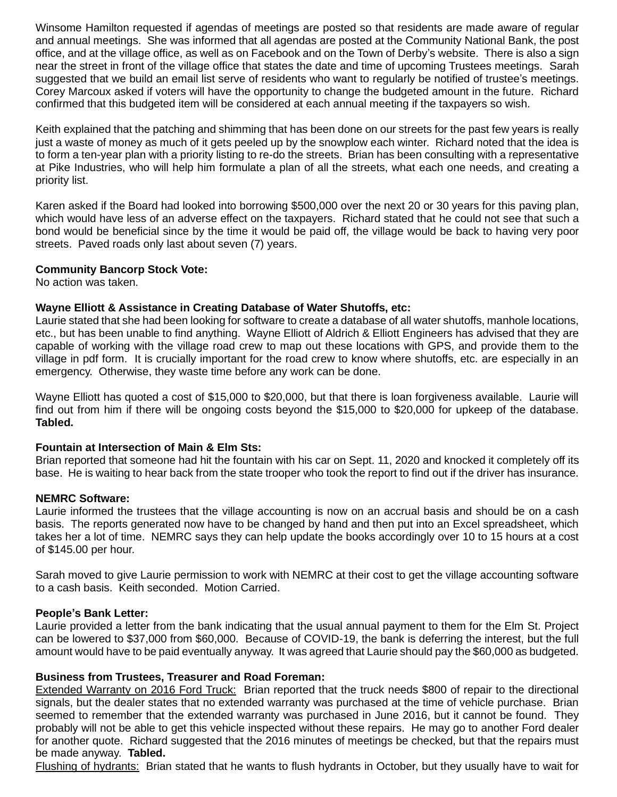Winsome Hamilton requested if agendas of meetings are posted so that residents are made aware of regular and annual meetings. She was informed that all agendas are posted at the Community National Bank, the post office, and at the village office, as well as on Facebook and on the Town of Derby's website. There is also a sign near the street in front of the village office that states the date and time of upcoming Trustees meetings. Sarah suggested that we build an email list serve of residents who want to regularly be notified of trustee's meetings. Corey Marcoux asked if voters will have the opportunity to change the budgeted amount in the future. Richard confirmed that this budgeted item will be considered at each annual meeting if the taxpayers so wish.

Keith explained that the patching and shimming that has been done on our streets for the past few years is really just a waste of money as much of it gets peeled up by the snowplow each winter. Richard noted that the idea is to form a ten-year plan with a priority listing to re-do the streets. Brian has been consulting with a representative at Pike Industries, who will help him formulate a plan of all the streets, what each one needs, and creating a priority list.

Karen asked if the Board had looked into borrowing \$500,000 over the next 20 or 30 years for this paving plan, which would have less of an adverse effect on the taxpayers. Richard stated that he could not see that such a bond would be beneficial since by the time it would be paid off, the village would be back to having very poor streets. Paved roads only last about seven (7) years.

# **Community Bancorp Stock Vote:**

No action was taken.

## **Wayne Elliott & Assistance in Creating Database of Water Shutoffs, etc:**

Laurie stated that she had been looking for software to create a database of all water shutoffs, manhole locations, etc., but has been unable to find anything. Wayne Elliott of Aldrich & Elliott Engineers has advised that they are capable of working with the village road crew to map out these locations with GPS, and provide them to the village in pdf form. It is crucially important for the road crew to know where shutoffs, etc. are especially in an emergency. Otherwise, they waste time before any work can be done.

Wayne Elliott has quoted a cost of \$15,000 to \$20,000, but that there is loan forgiveness available. Laurie will find out from him if there will be ongoing costs beyond the \$15,000 to \$20,000 for upkeep of the database. **Tabled.** 

## **Fountain at Intersection of Main & Elm Sts:**

Brian reported that someone had hit the fountain with his car on Sept. 11, 2020 and knocked it completely off its base. He is waiting to hear back from the state trooper who took the report to find out if the driver has insurance.

# **NEMRC Software:**

Laurie informed the trustees that the village accounting is now on an accrual basis and should be on a cash basis. The reports generated now have to be changed by hand and then put into an Excel spreadsheet, which takes her a lot of time. NEMRC says they can help update the books accordingly over 10 to 15 hours at a cost of \$145.00 per hour.

Sarah moved to give Laurie permission to work with NEMRC at their cost to get the village accounting software to a cash basis. Keith seconded. Motion Carried.

## **People's Bank Letter:**

Laurie provided a letter from the bank indicating that the usual annual payment to them for the Elm St. Project can be lowered to \$37,000 from \$60,000. Because of COVID-19, the bank is deferring the interest, but the full amount would have to be paid eventually anyway. It was agreed that Laurie should pay the \$60,000 as budgeted.

## **Business from Trustees, Treasurer and Road Foreman:**

Extended Warranty on 2016 Ford Truck: Brian reported that the truck needs \$800 of repair to the directional signals, but the dealer states that no extended warranty was purchased at the time of vehicle purchase. Brian seemed to remember that the extended warranty was purchased in June 2016, but it cannot be found. They probably will not be able to get this vehicle inspected without these repairs. He may go to another Ford dealer for another quote. Richard suggested that the 2016 minutes of meetings be checked, but that the repairs must be made anyway. **Tabled.**

Flushing of hydrants: Brian stated that he wants to flush hydrants in October, but they usually have to wait for